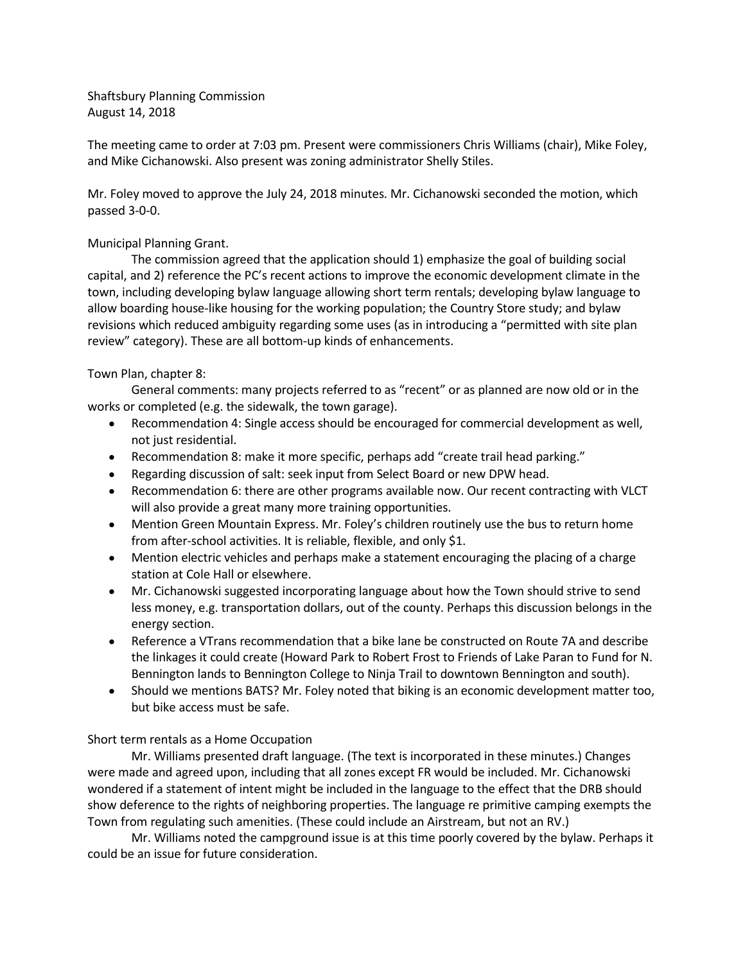Shaftsbury Planning Commission August 14, 2018

The meeting came to order at 7:03 pm. Present were commissioners Chris Williams (chair), Mike Foley, and Mike Cichanowski. Also present was zoning administrator Shelly Stiles.

Mr. Foley moved to approve the July 24, 2018 minutes. Mr. Cichanowski seconded the motion, which passed 3-0-0.

## Municipal Planning Grant.

The commission agreed that the application should 1) emphasize the goal of building social capital, and 2) reference the PC's recent actions to improve the economic development climate in the town, including developing bylaw language allowing short term rentals; developing bylaw language to allow boarding house-like housing for the working population; the Country Store study; and bylaw revisions which reduced ambiguity regarding some uses (as in introducing a "permitted with site plan review" category). These are all bottom-up kinds of enhancements.

## Town Plan, chapter 8:

General comments: many projects referred to as "recent" or as planned are now old or in the works or completed (e.g. the sidewalk, the town garage).

- Recommendation 4: Single access should be encouraged for commercial development as well, not just residential.
- Recommendation 8: make it more specific, perhaps add "create trail head parking."
- Regarding discussion of salt: seek input from Select Board or new DPW head.
- Recommendation 6: there are other programs available now. Our recent contracting with VLCT will also provide a great many more training opportunities.
- Mention Green Mountain Express. Mr. Foley's children routinely use the bus to return home from after-school activities. It is reliable, flexible, and only \$1.
- Mention electric vehicles and perhaps make a statement encouraging the placing of a charge station at Cole Hall or elsewhere.
- Mr. Cichanowski suggested incorporating language about how the Town should strive to send less money, e.g. transportation dollars, out of the county. Perhaps this discussion belongs in the energy section.
- Reference a VTrans recommendation that a bike lane be constructed on Route 7A and describe the linkages it could create (Howard Park to Robert Frost to Friends of Lake Paran to Fund for N. Bennington lands to Bennington College to Ninja Trail to downtown Bennington and south).
- Should we mentions BATS? Mr. Foley noted that biking is an economic development matter too, but bike access must be safe.

## Short term rentals as a Home Occupation

Mr. Williams presented draft language. (The text is incorporated in these minutes.) Changes were made and agreed upon, including that all zones except FR would be included. Mr. Cichanowski wondered if a statement of intent might be included in the language to the effect that the DRB should show deference to the rights of neighboring properties. The language re primitive camping exempts the Town from regulating such amenities. (These could include an Airstream, but not an RV.)

Mr. Williams noted the campground issue is at this time poorly covered by the bylaw. Perhaps it could be an issue for future consideration.